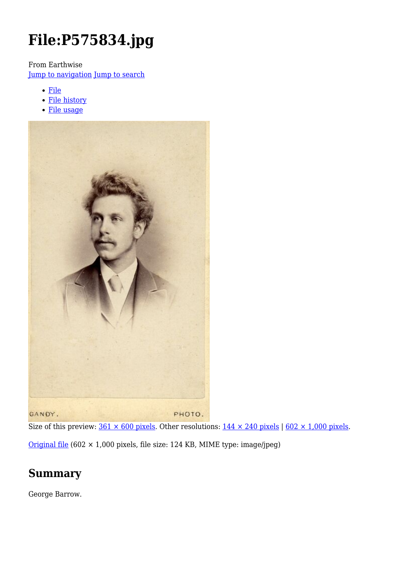# **File:P575834.jpg**

From Earthwise

[Jump to navigation](#page--1-0) [Jump to search](#page--1-0)

- [File](#page--1-0)
- [File history](#page--1-0)
- [File usage](#page--1-0)



Size of this preview:  $361 \times 600$  pixels. Other resolutions:  $144 \times 240$  pixels |  $602 \times 1,000$  pixels. [Original file](http://earthwise.bgs.ac.uk/images/6/6f/P575834.jpg) (602 × 1,000 pixels, file size: 124 KB, MIME type: image/jpeg)

## **Summary**

George Barrow.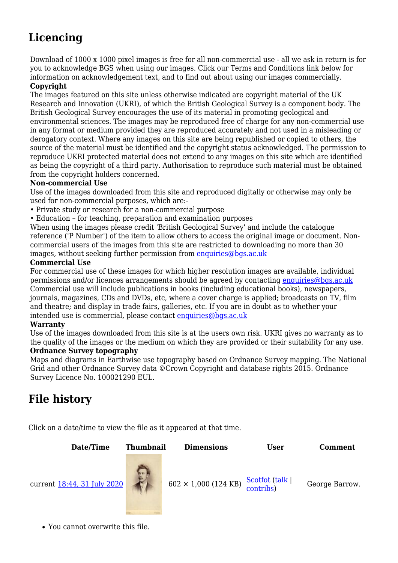# **Licencing**

Download of 1000 x 1000 pixel images is free for all non-commercial use - all we ask in return is for you to acknowledge BGS when using our images. Click our Terms and Conditions link below for information on acknowledgement text, and to find out about using our images commercially.

#### **Copyright**

The images featured on this site unless otherwise indicated are copyright material of the UK Research and Innovation (UKRI), of which the British Geological Survey is a component body. The British Geological Survey encourages the use of its material in promoting geological and environmental sciences. The images may be reproduced free of charge for any non-commercial use in any format or medium provided they are reproduced accurately and not used in a misleading or derogatory context. Where any images on this site are being republished or copied to others, the source of the material must be identified and the copyright status acknowledged. The permission to reproduce UKRI protected material does not extend to any images on this site which are identified as being the copyright of a third party. Authorisation to reproduce such material must be obtained from the copyright holders concerned.

#### **Non-commercial Use**

Use of the images downloaded from this site and reproduced digitally or otherwise may only be used for non-commercial purposes, which are:-

- Private study or research for a non-commercial purpose
- Education for teaching, preparation and examination purposes

When using the images please credit 'British Geological Survey' and include the catalogue reference ('P Number') of the item to allow others to access the original image or document. Noncommercial users of the images from this site are restricted to downloading no more than 30 images, without seeking further permission from [enquiries@bgs.ac.uk](mailto:enquiries@bgs.ac.uk)

#### **Commercial Use**

For commercial use of these images for which higher resolution images are available, individual permissions and/or licences arrangements should be agreed by contacting [enquiries@bgs.ac.uk](mailto:enquiries@bgs.ac.uk) Commercial use will include publications in books (including educational books), newspapers, journals, magazines, CDs and DVDs, etc, where a cover charge is applied; broadcasts on TV, film and theatre; and display in trade fairs, galleries, etc. If you are in doubt as to whether your intended use is commercial, please contact [enquiries@bgs.ac.uk](mailto:enquiries@bgs.ac.uk)

#### **Warranty**

Use of the images downloaded from this site is at the users own risk. UKRI gives no warranty as to the quality of the images or the medium on which they are provided or their suitability for any use.

#### **Ordnance Survey topography**

Maps and diagrams in Earthwise use topography based on Ordnance Survey mapping. The National Grid and other Ordnance Survey data ©Crown Copyright and database rights 2015. Ordnance Survey Licence No. 100021290 EUL.

# **File history**

Click on a date/time to view the file as it appeared at that time.



You cannot overwrite this file.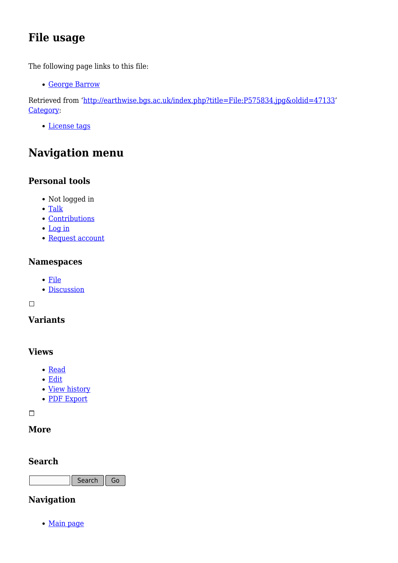# **File usage**

The following page links to this file:

[George Barrow](http://earthwise.bgs.ac.uk/index.php/George_Barrow)

Retrieved from ['http://earthwise.bgs.ac.uk/index.php?title=File:P575834.jpg&oldid=47133](http://earthwise.bgs.ac.uk/index.php?title=File:P575834.jpg&oldid=47133)' [Category](http://earthwise.bgs.ac.uk/index.php/Special:Categories):

[License tags](http://earthwise.bgs.ac.uk/index.php/Category:License_tags)

# **Navigation menu**

### **Personal tools**

- Not logged in
- [Talk](http://earthwise.bgs.ac.uk/index.php/Special:MyTalk)
- [Contributions](http://earthwise.bgs.ac.uk/index.php/Special:MyContributions)
- [Log in](http://earthwise.bgs.ac.uk/index.php?title=Special:UserLogin&returnto=File%3AP575834.jpg&returntoquery=action%3Dmpdf)
- [Request account](http://earthwise.bgs.ac.uk/index.php/Special:RequestAccount)

### **Namespaces**

- [File](http://earthwise.bgs.ac.uk/index.php/File:P575834.jpg)
- [Discussion](http://earthwise.bgs.ac.uk/index.php?title=File_talk:P575834.jpg&action=edit&redlink=1)

 $\Box$ 

### **Variants**

### **Views**

- [Read](http://earthwise.bgs.ac.uk/index.php/File:P575834.jpg)
- [Edit](http://earthwise.bgs.ac.uk/index.php?title=File:P575834.jpg&action=edit)
- [View history](http://earthwise.bgs.ac.uk/index.php?title=File:P575834.jpg&action=history)
- [PDF Export](http://earthwise.bgs.ac.uk/index.php?title=File:P575834.jpg&action=mpdf)

 $\overline{\phantom{a}}$ 

### **More**

### **Search**

Search Go

### **Navigation**

• [Main page](http://earthwise.bgs.ac.uk/index.php/Main_Page)